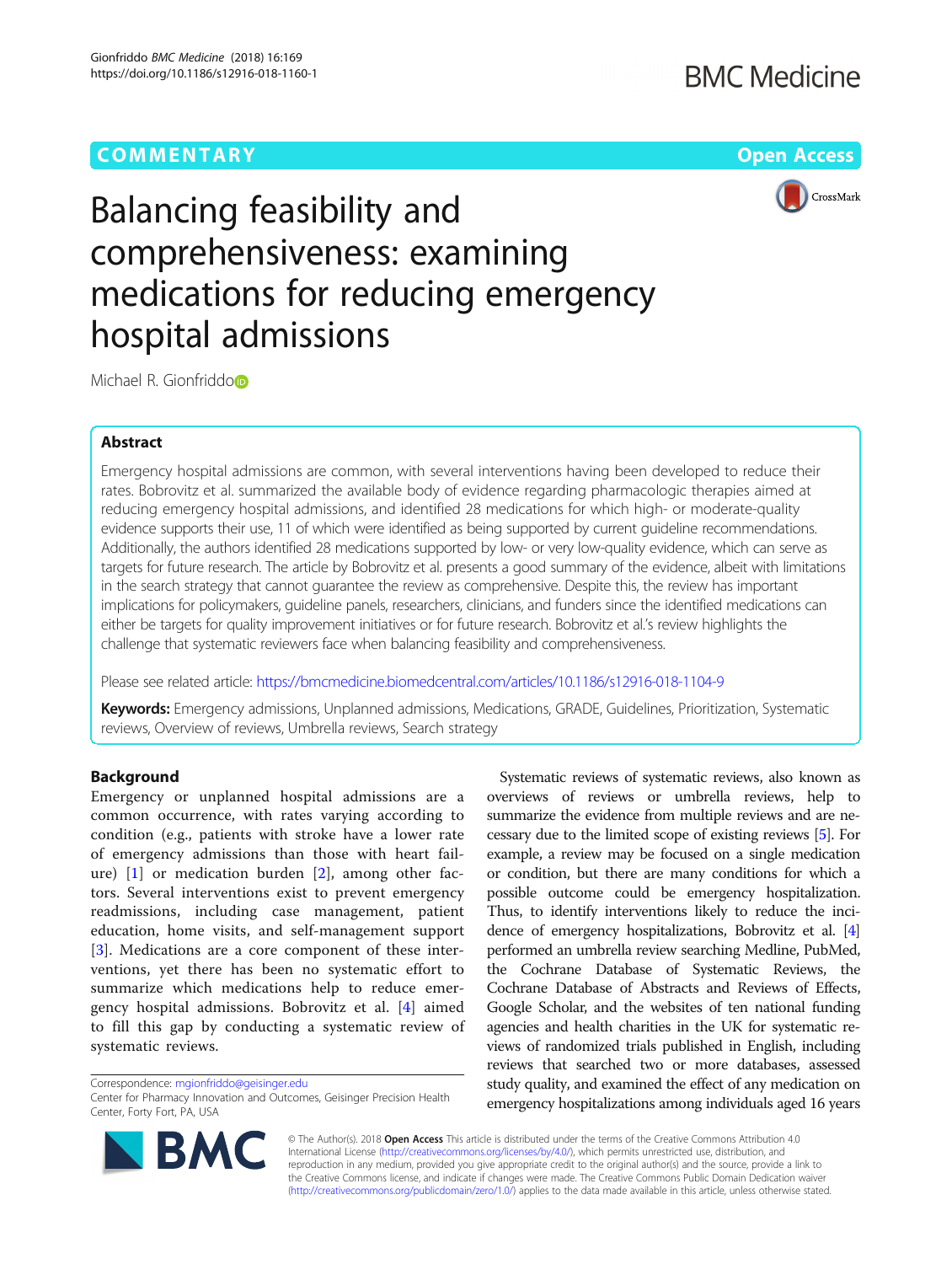# **COMMENTARY** COMMENTARY **COMMENTARY**



# Balancing feasibility and comprehensiveness: examining medications for reducing emergency hospital admissions

Michael R. Gionfriddo<sup>b</sup>

## Abstract

Emergency hospital admissions are common, with several interventions having been developed to reduce their rates. Bobrovitz et al. summarized the available body of evidence regarding pharmacologic therapies aimed at reducing emergency hospital admissions, and identified 28 medications for which high- or moderate-quality evidence supports their use, 11 of which were identified as being supported by current guideline recommendations. Additionally, the authors identified 28 medications supported by low- or very low-quality evidence, which can serve as targets for future research. The article by Bobrovitz et al. presents a good summary of the evidence, albeit with limitations in the search strategy that cannot guarantee the review as comprehensive. Despite this, the review has important implications for policymakers, guideline panels, researchers, clinicians, and funders since the identified medications can either be targets for quality improvement initiatives or for future research. Bobrovitz et al.'s review highlights the challenge that systematic reviewers face when balancing feasibility and comprehensiveness.

Please see related article: <https://bmcmedicine.biomedcentral.com/articles/10.1186/s12916-018-1104-9>

Keywords: Emergency admissions, Unplanned admissions, Medications, GRADE, Guidelines, Prioritization, Systematic reviews, Overview of reviews, Umbrella reviews, Search strategy

### Background

Emergency or unplanned hospital admissions are a common occurrence, with rates varying according to condition (e.g., patients with stroke have a lower rate of emergency admissions than those with heart failure) [[1\]](#page-2-0) or medication burden [[2\]](#page-2-0), among other factors. Several interventions exist to prevent emergency readmissions, including case management, patient education, home visits, and self-management support [[3\]](#page-2-0). Medications are a core component of these interventions, yet there has been no systematic effort to summarize which medications help to reduce emergency hospital admissions. Bobrovitz et al. [\[4](#page-2-0)] aimed to fill this gap by conducting a systematic review of systematic reviews.

Correspondence: [mgionfriddo@geisinger.edu](mailto:mgionfriddo@geisinger.edu)

Center for Pharmacy Innovation and Outcomes, Geisinger Precision Health Center, Forty Fort, PA, USA



Systematic reviews of systematic reviews, also known as overviews of reviews or umbrella reviews, help to summarize the evidence from multiple reviews and are necessary due to the limited scope of existing reviews [\[5](#page-2-0)]. For example, a review may be focused on a single medication or condition, but there are many conditions for which a possible outcome could be emergency hospitalization. Thus, to identify interventions likely to reduce the incidence of emergency hospitalizations, Bobrovitz et al. [[4](#page-2-0)] performed an umbrella review searching Medline, PubMed, the Cochrane Database of Systematic Reviews, the Cochrane Database of Abstracts and Reviews of Effects, Google Scholar, and the websites of ten national funding agencies and health charities in the UK for systematic reviews of randomized trials published in English, including reviews that searched two or more databases, assessed study quality, and examined the effect of any medication on emergency hospitalizations among individuals aged 16 years

© The Author(s). 2018 Open Access This article is distributed under the terms of the Creative Commons Attribution 4.0 International License [\(http://creativecommons.org/licenses/by/4.0/](http://creativecommons.org/licenses/by/4.0/)), which permits unrestricted use, distribution, and reproduction in any medium, provided you give appropriate credit to the original author(s) and the source, provide a link to the Creative Commons license, and indicate if changes were made. The Creative Commons Public Domain Dedication waiver [\(http://creativecommons.org/publicdomain/zero/1.0/](http://creativecommons.org/publicdomain/zero/1.0/)) applies to the data made available in this article, unless otherwise stated.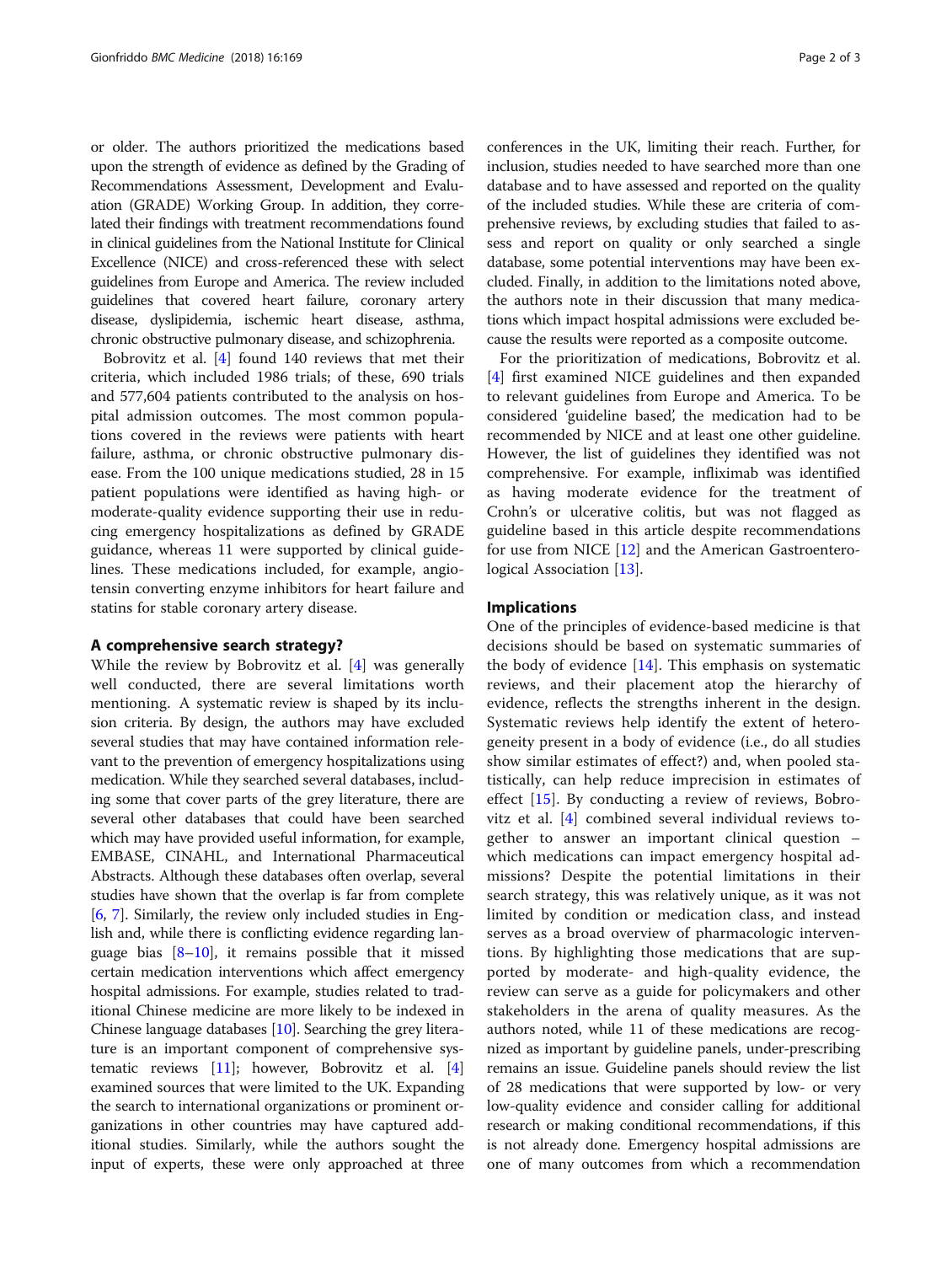or older. The authors prioritized the medications based upon the strength of evidence as defined by the Grading of Recommendations Assessment, Development and Evaluation (GRADE) Working Group. In addition, they correlated their findings with treatment recommendations found in clinical guidelines from the National Institute for Clinical Excellence (NICE) and cross-referenced these with select guidelines from Europe and America. The review included guidelines that covered heart failure, coronary artery disease, dyslipidemia, ischemic heart disease, asthma, chronic obstructive pulmonary disease, and schizophrenia.

Bobrovitz et al. [[4\]](#page-2-0) found 140 reviews that met their criteria, which included 1986 trials; of these, 690 trials and 577,604 patients contributed to the analysis on hospital admission outcomes. The most common populations covered in the reviews were patients with heart failure, asthma, or chronic obstructive pulmonary disease. From the 100 unique medications studied, 28 in 15 patient populations were identified as having high- or moderate-quality evidence supporting their use in reducing emergency hospitalizations as defined by GRADE guidance, whereas 11 were supported by clinical guidelines. These medications included, for example, angiotensin converting enzyme inhibitors for heart failure and statins for stable coronary artery disease.

# A comprehensive search strategy?

While the review by Bobrovitz et al. [\[4](#page-2-0)] was generally well conducted, there are several limitations worth mentioning. A systematic review is shaped by its inclusion criteria. By design, the authors may have excluded several studies that may have contained information relevant to the prevention of emergency hospitalizations using medication. While they searched several databases, including some that cover parts of the grey literature, there are several other databases that could have been searched which may have provided useful information, for example, EMBASE, CINAHL, and International Pharmaceutical Abstracts. Although these databases often overlap, several studies have shown that the overlap is far from complete [[6,](#page-2-0) [7](#page-2-0)]. Similarly, the review only included studies in English and, while there is conflicting evidence regarding language bias  $[8-10]$  $[8-10]$  $[8-10]$  $[8-10]$ , it remains possible that it missed certain medication interventions which affect emergency hospital admissions. For example, studies related to traditional Chinese medicine are more likely to be indexed in Chinese language databases [[10](#page-2-0)]. Searching the grey literature is an important component of comprehensive systematic reviews [\[11\]](#page-2-0); however, Bobrovitz et al. [[4](#page-2-0)] examined sources that were limited to the UK. Expanding the search to international organizations or prominent organizations in other countries may have captured additional studies. Similarly, while the authors sought the input of experts, these were only approached at three conferences in the UK, limiting their reach. Further, for inclusion, studies needed to have searched more than one database and to have assessed and reported on the quality of the included studies. While these are criteria of comprehensive reviews, by excluding studies that failed to assess and report on quality or only searched a single database, some potential interventions may have been excluded. Finally, in addition to the limitations noted above, the authors note in their discussion that many medications which impact hospital admissions were excluded because the results were reported as a composite outcome.

For the prioritization of medications, Bobrovitz et al. [[4\]](#page-2-0) first examined NICE guidelines and then expanded to relevant guidelines from Europe and America. To be considered 'guideline based', the medication had to be recommended by NICE and at least one other guideline. However, the list of guidelines they identified was not comprehensive. For example, infliximab was identified as having moderate evidence for the treatment of Crohn's or ulcerative colitis, but was not flagged as guideline based in this article despite recommendations for use from NICE [\[12\]](#page-2-0) and the American Gastroentero-logical Association [\[13](#page-2-0)].

#### Implications

One of the principles of evidence-based medicine is that decisions should be based on systematic summaries of the body of evidence  $[14]$  $[14]$ . This emphasis on systematic reviews, and their placement atop the hierarchy of evidence, reflects the strengths inherent in the design. Systematic reviews help identify the extent of heterogeneity present in a body of evidence (i.e., do all studies show similar estimates of effect?) and, when pooled statistically, can help reduce imprecision in estimates of effect [[15\]](#page-2-0). By conducting a review of reviews, Bobrovitz et al. [[4\]](#page-2-0) combined several individual reviews together to answer an important clinical question – which medications can impact emergency hospital admissions? Despite the potential limitations in their search strategy, this was relatively unique, as it was not limited by condition or medication class, and instead serves as a broad overview of pharmacologic interventions. By highlighting those medications that are supported by moderate- and high-quality evidence, the review can serve as a guide for policymakers and other stakeholders in the arena of quality measures. As the authors noted, while 11 of these medications are recognized as important by guideline panels, under-prescribing remains an issue. Guideline panels should review the list of 28 medications that were supported by low- or very low-quality evidence and consider calling for additional research or making conditional recommendations, if this is not already done. Emergency hospital admissions are one of many outcomes from which a recommendation